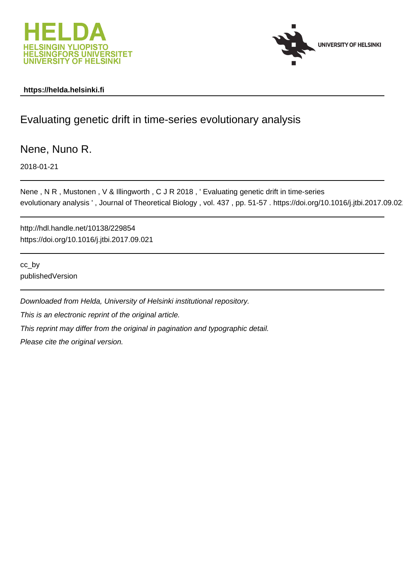



### **https://helda.helsinki.fi**

# Evaluating genetic drift in time-series evolutionary analysis

Nene, Nuno R.

2018-01-21

Nene , N R , Mustonen , V & Illingworth , C J R 2018 , ' Evaluating genetic drift in time-series evolutionary analysis ' , Journal of Theoretical Biology , vol. 437 , pp. 51-57 . https://doi.org/10.1016/j.jtbi.2017.09.021

http://hdl.handle.net/10138/229854 https://doi.org/10.1016/j.jtbi.2017.09.021

cc\_by publishedVersion

Downloaded from Helda, University of Helsinki institutional repository. This is an electronic reprint of the original article. This reprint may differ from the original in pagination and typographic detail. Please cite the original version.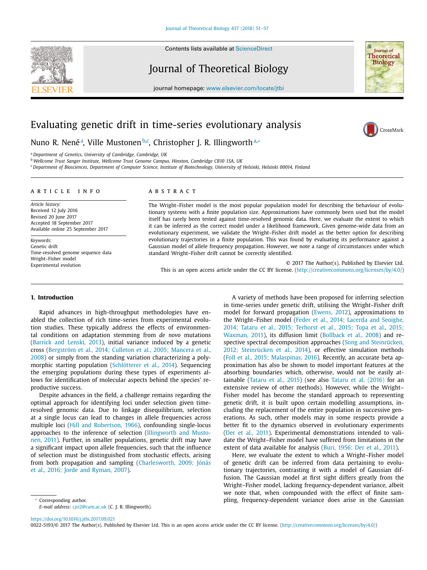Contents lists available at [ScienceDirect](http://www.ScienceDirect.com)

## Journal of Theoretical Biology

journal homepage: [www.elsevier.com/locate/jtbi](http://www.elsevier.com/locate/jtbi)

### Evaluating genetic drift in time-series evolutionary analysis

Nuno R. Nenéª, Ville Mustonen<sup>b,c</sup>, Christopher J. R. Illingworth<sup>a,</sup>∗

<sup>a</sup> *Department of Genetics, University of Cambridge, Cambridge, UK*

<sup>b</sup> *Wellcome Trust Sanger Institute, Wellcome Trust Genome Campus, Hinxton, Cambridge CB10 1SA, UK*

<sup>c</sup> Department of Biosciences, Department of Computer Science, Institute of Biotechnology, University of Helsinki, Helsinki 00014, Finland

#### a r t i c l e i n f o

*Article history:* Received 12 July 2016 Revised 20 June 2017 Accepted 18 September 2017 Available online 25 September 2017

*Keywords:* Genetic drift Time-resolved genome sequence data Wright–Fisher model Experimental evolution

#### a b s t r a c t

The Wright–Fisher model is the most popular population model for describing the behaviour of evolutionary systems with a finite population size. Approximations have commonly been used but the model itself has rarely been tested against time-resolved genomic data. Here, we evaluate the extent to which it can be inferred as the correct model under a likelihood framework. Given genome-wide data from an evolutionary experiment, we validate the Wright–Fisher drift model as the better option for describing evolutionary trajectories in a finite population. This was found by evaluating its performance against a Gaussian model of allele frequency propagation. However, we note a range of circumstances under which standard Wright–Fisher drift cannot be correctly identified.

© 2017 The Author(s). Published by Elsevier Ltd. This is an open access article under the CC BY license. [\(http://creativecommons.org/licenses/by/4.0/\)](http://creativecommons.org/licenses/by/4.0/)

#### **1. Introduction**

Rapid advances in high-throughput methodologies have enabled the collection of rich time-series from experimental evolution studies. These typically address the effects of environmental conditions on adaptation stemming from *de novo* mutations (Barrick and Lenski, 2013), initial variance induced by a genetic cross (Bergström et al., 2014; Culleton et al., 2005; Mancera et al., 2008) or simply from the standing variation characterizing a polymorphic starting population (Schlötterer et al., 2014). Sequencing the emerging populations during these types of experiments allows for identification of molecular aspects behind the species' reproductive success.

Despite advances in the field, a challenge remains regarding the optimal approach for identifying loci under selection given timeresolved genomic data. Due to linkage disequilibrium, selection at a single locus can lead to changes in allele frequencies across multiple loci (Hill and Robertson, 1966), confounding single-locus approaches to the inference of selection (Illingworth and Mustonen, 2011). Further, in smaller populations, genetic drift may have a significant impact upon allele frequencies, such that the influence of selection must be distinguished from stochastic effects, arising from both propagation and sampling (Charlesworth, 2009; Jónás et al., 2016; Jorde and Ryman, 2007).

Corresponding author.

A variety of methods have been proposed for inferring selection in time-series under genetic drift, utilising the Wright–Fisher drift model for forward propagation (Ewens, 2012), approximations to the Wright–Fisher model (Feder et al., 2014; Lacerda and Seoighe, 2014; Tataru et al., 2015; Terhorst et al., 2015; Topa et al., 2015; Waxman, 2011), its diffusion limit (Bollback et al., 2008) and respective spectral decomposition approaches (Song and Steinrücken, 2012; Steinrücken et al., 2014), or effective simulation methods (Foll et al., 2015; Malaspinas, 2016). Recently, an accurate beta approximation has also be shown to model important features at the absorbing boundaries which, otherwise, would not be easily attainable (Tataru et al., 2015) (see also Tataru et al. (2016) for an extensive review of other methods). However, while the Wright– Fisher model has become the standard approach to representing genetic drift, it is built upon certain modelling assumptions, including the replacement of the entire population in successive generations. As such, other models may in some respects provide a better fit to the dynamics observed in evolutionary experiments (Der et al., 2011). Experimental demonstrations intended to validate the Wright–Fisher model have suffered from limitations in the extent of data available for analysis (Buri, 1956; Der et al., 2011).

Here, we evaluate the extent to which a Wright–Fisher model of genetic drift can be inferred from data pertaining to evolutionary trajectories, contrasting it with a model of Gaussian diffusion. The Gaussian model at first sight differs greatly from the Wright–Fisher model, lacking frequency-dependent variance, albeit we note that, when compounded with the effect of finite sampling, frequency-dependent variance does arise in the Gaussian

<https://doi.org/10.1016/j.jtbi.2017.09.021>

0022-5193/© 2017 The Author(s). Published by Elsevier Ltd. This is an open access article under the CC BY license. [\(http://creativecommons.org/licenses/by/4.0/\)](http://creativecommons.org/licenses/by/4.0/)



CrossMark

*E-mail address:* [cjri2@cam.ac.uk](mailto:cjri2@cam.ac.uk) (C. J. R. Illingworth).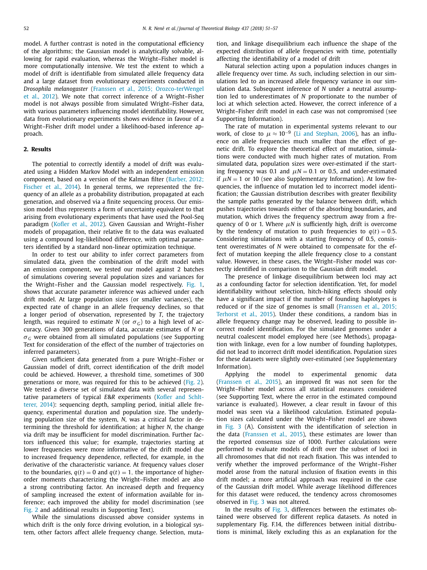model. A further contrast is noted in the computational efficiency of the algorithms; the Gaussian model is analytically solvable, allowing for rapid evaluation, whereas the Wright–Fisher model is more computationally intensive. We test the extent to which a model of drift is identifiable from simulated allele frequency data and a large dataset from evolutionary experiments conducted in *Drosophila melanogaster* (Franssen et al., 2015; Orozco-terWengel et al., 2012). We note that correct inference of a Wright–Fisher model is not always possible from simulated Wright–Fisher data, with various parameters influencing model identifiability. However, data from evolutionary experiments shows evidence in favour of a Wright–Fisher drift model under a likelihood-based inference approach.

#### **2. Results**

The potential to correctly identify a model of drift was evaluated using a Hidden Markov Model with an independent emission component, based on a version of the Kalman filter (Barber, 2012; Fischer et al., 2014). In general terms, we represented the frequency of an allele as a probability distribution, propagated at each generation, and observed via a finite sequencing process. Our emission model thus represents a form of uncertainty equivalent to that arising from evolutionary experiments that have used the Pool-Seq paradigm (Kofler et al., 2012). Given Gaussian and Wright–Fisher models of propagation, their relative fit to the data was evaluated using a compound log-likelihood difference, with optimal parameters identified by a standard non-linear optimization technique.

In order to test our ability to infer correct parameters from simulated data, given the combination of the drift model with an emission component, we tested our model against 2 batches of simulations covering several population sizes and variances for the Wright–Fisher and the Gaussian model respectively. Fig. 1, shows that accurate parameter inference was achieved under each drift model. At large population sizes (or smaller variances), the expected rate of change in an allele frequency declines, so that a longer period of observation, represented by *T*, the trajectory length, was required to estimate *N* (or  $\sigma_G$ ) to a high level of accuracy. Given 300 generations of data, accurate estimates of *N* or  $\sigma$ <sub>*G*</sub> were obtained from all simulated populations (see Supporting Text for consideration of the effect of the number of trajectories on inferred parameters).

Given sufficient data generated from a pure Wright–Fisher or Gaussian model of drift, correct identification of the drift model could be achieved. However, a threshold time, sometimes of 300 generations or more, was required for this to be achieved (Fig. 2). We tested a diverse set of simulated data with several representative parameters of typical *E*&*R* experiments (Kofler and Schltterer, 2014): sequencing depth, sampling period, initial allele frequency, experimental duration and population size. The underlying population size of the system, *N*, was a critical factor in determining the threshold for identification; at higher *N*, the change via drift may be insufficient for model discrimination. Further factors influenced this value; for example, trajectories starting at lower frequencies were more informative of the drift model due to increased frequency dependence, reflected, for example, in the derivative of the characteristic variance. At frequency values closer to the boundaries,  $q(t) = 0$  and  $q(t) = 1$ , the importance of higherorder moments characterizing the Wright–Fisher model are also a strong contributing factor. An increased depth and frequency of sampling increased the extent of information available for inference; each improved the ability for model discrimination (see Fig. 2 and additional results in Supporting Text).

While the simulations discussed above consider systems in which drift is the only force driving evolution, in a biological system, other factors affect allele frequency change. Selection, mutation, and linkage disequilibrium each influence the shape of the expected distribution of allele frequencies with time, potentially affecting the identifiability of a model of drift

Natural selection acting upon a population induces changes in allele frequency over time. As such, including selection in our simulations led to an increased allele frequency variance in our simulation data. Subsequent inference of *N* under a neutral assumption led to underestimates of *N* proportionate to the number of loci at which selection acted. However, the correct inference of a Wright–Fisher drift model in each case was not compromised (see Supporting Information).

The rate of mutation in experimental systems relevant to our work, of close to  $\mu \approx 10^{-9}$  (Li and Stephan, 2006), has an influence on allele frequencies much smaller than the effect of genetic drift. To explore the theoretical effect of mutation, simulations were conducted with much higher rates of mutation. From simulated data, population sizes were over-estimated if the starting frequency was 0.1 and  $\mu$ N = 0.1 or 0.5, and under-estimated if  $\mu$ *N* = 1 or 10 (see also Supplementary Information). At low frequencies, the influence of mutation led to incorrect model identification; the Gaussian distribution describes with greater flexibility the sample paths generated by the balance between drift, which pushes trajectories towards either of the absorbing boundaries, and mutation, which drives the frequency spectrum away from a frequency of 0 or 1. Where  $\mu$ *N* is sufficiently high, drift is overcome by the tendency of mutation to push frequencies to  $q(t) = 0.5$ . Considering simulations with a starting frequency of 0.5, consistent overestimates of *N* were obtained to compensate for the effect of mutation keeping the allele frequency close to a constant value. However, in these cases, the Wright–Fisher model was correctly identified in comparison to the Gaussian drift model.

The presence of linkage disequilibrium between loci may act as a confounding factor for selection identification. Yet, for model identifiability without selection, hitch-hiking effects should only have a significant impact if the number of founding haplotypes is reduced or if the size of genomes is small (Franssen et al., 2015; Terhorst et al., 2015). Under these conditions, a random bias in allele frequency change may be observed, leading to possible incorrect model identification. For the simulated genomes under a neutral coalescent model employed here (see Methods), propagation with linkage, even for a low number of founding haplotypes, did not lead to incorrect drift model identification. Population sizes for these datasets were slightly over-estimated (see Supplementary Information).

Applying the model to experimental genomic data (Franssen et al., 2015), an improved fit was not seen for the Wright–Fisher model across all statistical measures considered (see Supporting Text, where the error in the estimated compound variance is evaluated). However, a clear result in favour of this model was seen via a likelihood calculation. Estimated population sizes calculated under the Wright–Fisher model are shown in Fig. 3 (A). Consistent with the identification of selection in the data (Franssen et al., 2015), these estimates are lower than the reported consensus size of 1000. Further calculations were performed to evaluate models of drift over the subset of loci in all chromosomes that did not reach fixation. This was intended to verify whether the improved performance of the Wright–Fisher model arose from the natural inclusion of fixation events in this drift model; a more artificial approach was required in the case of the Gaussian drift model. While average likelihood differences for this dataset were reduced, the tendency across chromosomes observed in Fig. 3 was not altered.

In the results of Fig. 3, differences between the estimates obtained were observed for different replica datasets. As noted in supplementary Fig. F.14, the differences between initial distributions is minimal, likely excluding this as an explanation for the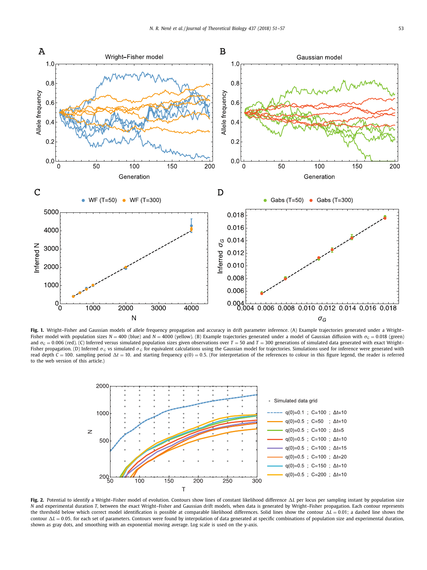

Fig. 1. Wright–Fisher and Gaussian models of allele frequency propagation and accuracy in drift parameter inference. (A) Example trajectories generated under a Wright– Fisher model with population sizes *N* = 400 (blue) and *N* = 4000 (yellow). (B) Example trajectories generated under a model of Gaussian diffusion with σ<sub>*G*</sub> = 0.018 (green) and  $\sigma_G = 0.006$  (red). (C) Inferred versus simulated population sizes given observations over  $T = 50$  and  $T = 300$  generations of simulated data generated with exact Wright– Fisher propagation. (D) Inferred σ<sub>G</sub> vs simulated σ<sub>G</sub> for equivalent calculations using the Gaussian model for trajectories. Simulations used for inference were generated with read depth  $C = 100$ , sampling period  $\Delta t = 10$ , and starting frequency  $q(0) = 0.5$ . (For interpretation of the references to colour in this figure legend, the reader is referred to the web version of this article.)



**Fig. 2.** Potential to identify a Wright–Fisher model of evolution. Contours show lines of constant likelihood difference *L* per locus per sampling instant by population size *N* and experimental duration *T*, between the exact Wright–Fisher and Gaussian drift models, when data is generated by Wright–Fisher propagation. Each contour represents the threshold below which correct model identification is possible at comparable likelihood differences. Solid lines show the contour  $\Delta L = 0.01$ ; a dashed line shows the contour  $\Delta L = 0.05$ , for each set of parameters. Contours were found by interpolation of data generated at specific combinations of population size and experimental duration, shown as gray dots, and smoothing with an exponential moving average. Log scale is used on the y-axis.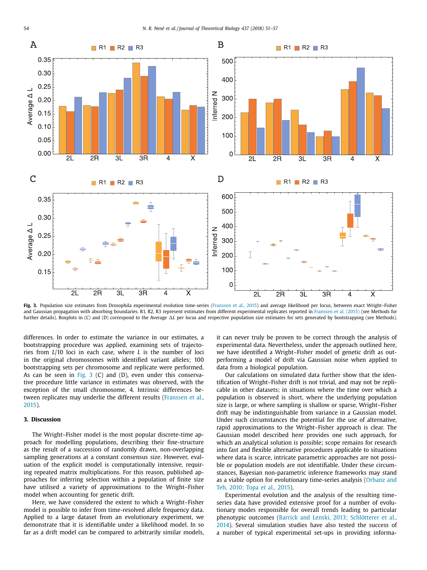

Fig. 3. Population size estimates from Drosophila experimental evolution time-series (Franssen et al., 2015) and average likelihood per locus, between exact Wright–Fisher and Gaussian propagation with absorbing boundaries. R1, R2, R3 represent estimates from different experimental replicates reported in Franssen et al. (2015) (see Methods for further details). Boxplots in (C) and (D) correspond to the Average  $\Delta L$  per locus and respective population size estimates for sets generated by bootstrapping (see Methods).

differences. In order to estimate the variance in our estimates, a bootstrapping procedure was applied, examining sets of trajectories from *L*/10 loci in each case, where *L* is the number of loci in the original chromosomes with identified variant alleles; 100 bootstrapping sets per chromosome and replicate were performed. As can be seen in Fig. 3 (C) and (D), even under this conservative procedure little variance in estimates was observed, with the exception of the small chromosome, 4. Intrinsic differences between replicates may underlie the different results (Franssen et al., 2015).

### **3. Discussion**

The Wright–Fisher model is the most popular discrete-time approach for modelling populations, describing their fine-structure as the result of a succession of randomly drawn, non-overlapping sampling generations at a constant consensus size. However, evaluation of the explicit model is computationally intensive, requiring repeated matrix multiplications. For this reason, published approaches for inferring selection within a population of finite size have utilised a variety of approximations to the Wright–Fisher model when accounting for genetic drift.

Here, we have considered the extent to which a Wright–Fisher model is possible to infer from time-resolved allele frequency data. Applied to a large dataset from an evolutionary experiment, we demonstrate that it is identifiable under a likelihood model. In so far as a drift model can be compared to arbitrarily similar models, it can never truly be proven to be correct through the analysis of experimental data. Nevertheless, under the approach outlined here, we have identified a Wright–Fisher model of genetic drift as outperforming a model of drift via Gaussian noise when applied to data from a biological population.

Our calculations on simulated data further show that the identification of Wright–Fisher drift is not trivial, and may not be replicable in other datasets; in situations where the time over which a population is observed is short, where the underlying population size is large, or where sampling is shallow or sparse, Wright–Fisher drift may be indistinguishable from variance in a Gaussian model. Under such circumstances the potential for the use of alternative, rapid approximations to the Wright–Fisher approach is clear. The Gaussian model described here provides one such approach, for which an analytical solution is possible; scope remains for research into fast and flexible alternative procedures applicable to situations where data is scarce, intricate parametric approaches are not possible or population models are not identifiable. Under these circumstances, Bayesian non-parametric inference frameworks may stand as a viable option for evolutionary time-series analysis (Orbanz and Teh, 2010; Topa et al., 2015).

Experimental evolution and the analysis of the resulting timeseries data have provided extensive proof for a number of evolutionary modes responsible for overall trends leading to particular phenotypic outcomes (Barrick and Lenski, 2013; Schlötterer et al., 2014). Several simulation studies have also tested the success of a number of typical experimental set-ups in providing informa-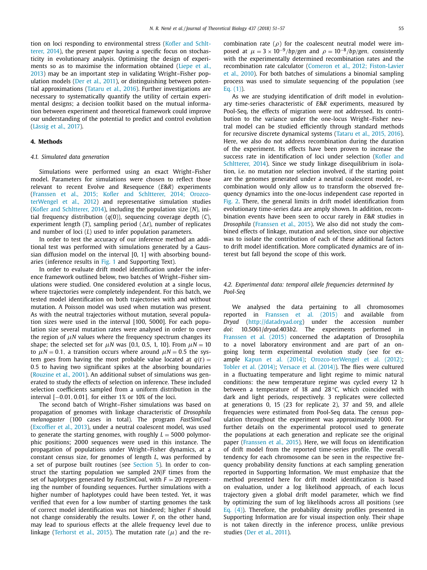tion on loci responding to environmental stress (Kofler and Schltterer, 2014), the present paper having a specific focus on stochasticity in evolutionary analysis. Optimising the design of experiments so as to maximise the information obtained (Liepe et al., 2013) may be an important step in validating Wright–Fisher population models (Der et al., 2011), or distinguishing between potential approximations (Tataru et al., 2016). Further investigations are necessary to systematically quantify the utility of certain experimental designs; a decision toolkit based on the mutual information between experiment and theoretical framework could improve our understanding of the potential to predict and control evolution (Lässig et al., 2017).

#### **4. Methods**

#### *4.1. Simulated data generation*

Simulations were performed using an exact Wright–Fisher model. Parameters for simulations were chosen to reflect those relevant to recent Evolve and Resequence (*E*&*R*) experiments (Franssen et al., 2015; Kofler and Schltterer, 2014; OrozcoterWengel et al., 2012) and representative simulation studies (Kofler and Schltterer, 2014), including the population size (*N*), initial frequency distribution (*q*(0)), sequencing coverage depth (*C*), experiment length  $(T)$ , sampling period  $(\Delta t)$ , number of replicates and number of loci (*L*) used to infer population parameters.

In order to test the accuracy of our inference method an additional test was performed with simulations generated by a Gaussian diffusion model on the interval [0, 1] with absorbing boundaries (inference results in Fig. 1 and Supporting Text).

In order to evaluate drift model identification under the inference framework outlined below, two batches of Wright–Fisher simulations were studied. One considered evolution at a single locus, where trajectories were completely independent. For this batch, we tested model identification on both trajectories with and without mutation. A Poisson model was used when mutation was present. As with the neutral trajectories without mutation, several population sizes were used in the interval [100, 5000]. For each population size several mutation rates were analysed in order to cover the region of  $\mu$ *N* values where the frequency spectrum changes its shape; the selected set for  $\mu$ *N* was {0.1, 0.5, 1, 10}. From  $\mu$ *N* = 10 to  $\mu$ *N* = 0.1, a transition occurs where around  $\mu$ *N* = 0.5 the system goes from having the most probable value located at  $q(t) =$ 0.5 to having two significant spikes at the absorbing boundaries (Rouzine et al., 2001). An additional subset of simulations was generated to study the effects of selection on inference. These included selection coefficients sampled from a uniform distribution in the interval [−0.01, 0.01], for either 1% or 10% of the loci.

The second batch of Wright–Fisher simulations was based on propagation of genomes with linkage characteristic of *Drosophila melanogaster* (100 cases in total). The program *FastSimCoal* (Excoffier et al., 2013), under a neutral coalescent model, was used to generate the starting genomes, with roughly  $L = 5000$  polymorphic positions; 2000 sequences were used in this instance. The propagation of populations under Wright–Fisher dynamics, at a constant census size, for genomes of length *L*, was performed by a set of purpose built routines (see Section 5). In order to construct the starting population we sampled 2*N*/*F* times from the set of haplotypes generated by *FastSimCoal*, with  $F = 20$  representing the number of founding sequences. Further simulations with a higher number of haplotypes could have been tested. Yet, it was verified that even for a low number of starting genomes the task of correct model identification was not hindered; higher *F* should not change considerably the results. Lower *F*, on the other hand, may lead to spurious effects at the allele frequency level due to linkage (Terhorst et al., 2015). The mutation rate  $(\mu)$  and the recombination rate ( $\rho$ ) for the coalescent neutral model were imposed at  $\mu = 3 \times 10^{-9}$ */bp/gen* and  $\rho = 10^{-8}$ */bp/gen*, consistently with the experimentally determined recombination rates and the recombination rate calculator (Comeron et al., 2012; Fiston-Lavier et al., 2010). For both batches of simulations a binomial sampling process was used to simulate sequencing of the population (see Eq. (1)).

As we are studying identification of drift model in evolutionary time-series characteristic of *E*&*R* experiments, measured by Pool-Seq, the effects of migration were not addressed. Its contribution to the variance under the one-locus Wright–Fisher neutral model can be studied efficiently through standard methods for recursive discrete dynamical systems (Tataru et al., 2015, 2016). Here, we also do not address recombination during the duration of the experiment. Its effects have been proven to increase the success rate in identification of loci under selection (Kofler and Schltterer, 2014). Since we study linkage disequilibrium in isolation, i.e. no mutation nor selection involved, if the starting point are the genomes generated under a neutral coalescent model, recombination would only allow us to transform the observed frequency dynamics into the one-locus independent case reported in Fig. 2. There, the general limits in drift model identification from evolutionary time-series data are amply shown. In addition, recombination events have been seen to occur rarely in *E*&*R* studies in *Drosophila* (Franssen et al., 2015). We also did not study the combined effects of linkage, mutation and selection, since our objective was to isolate the contribution of each of these additional factors to drift model identification. More complicated dynamics are of interest but fall beyond the scope of this work.

#### *4.2. Experimental data: temporal allele frequencies determined by Pool-Seq*

We analysed the data pertaining to all chromosomes reported in Franssen et al. (2015) and available from *Dryad* [\(http://datadryad.org\)](http://datadryad.org) under the accession number *doi*: 10.5061/*dryad*.403*b*2. The experiments performed in Franssen et al. (2015) concerned the adaptation of Drosophila to a novel laboratory environment and are part of an ongoing long term experimental evolution study (see for example Kapun et al. (2014); Orozco-terWengel et al. (2012); Tobler et al. (2014); Versace et al. (2014)). The flies were cultured in a fluctuating temperature and light regime to mimic natural conditions: the new temperature regime was cycled every 12 h between a temperature of 18 and 28 °*C*, which coincided with dark and light periods, respectively. 3 replicates were collected at generations 0, 15 (23 for replicate 2), 37 and 59, and allele frequencies were estimated from Pool-Seq data. The census population throughout the experiment was approximately 1000. For further details on the experimental protocol used to generate the populations at each generation and replicate see the original paper (Franssen et al., 2015). Here, we will focus on identification of drift model from the reported time-series profile. The overall tendency for each chromosome can be seen in the respective frequency probability density functions at each sampling generation reported in Supporting Information. We must emphasize that the method presented here for drift model identification is based on evaluation, under a log likelihood approach, of each locus trajectory given a global drift model parameter, which we find by optimizing the sum of log likelihoods across all positions (see Eq. (4)). Therefore, the probability density profiles presented in Supporting Information are for visual inspection only. Their shape is not taken directly in the inference process, unlike previous studies (Der et al., 2011).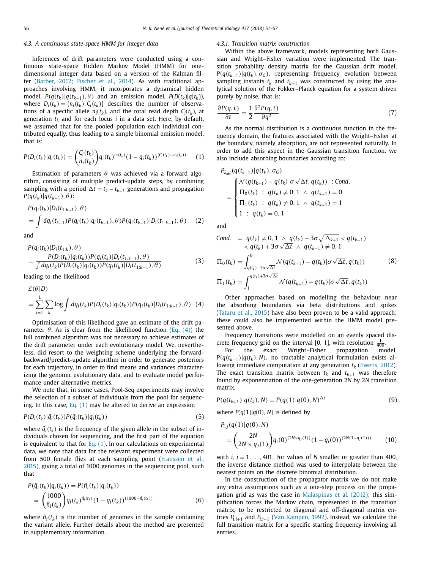#### *4.3. A continuous state-space HMM for integer data*

Inferences of drift parameters were conducted using a continuous state-space Hidden Markov Model (HMM) for onedimensional integer data based on a version of the Kalman filter (Barber, 2012; Fischer et al., 2014). As with traditional approaches involving HMM, it incorporates a dynamical hidden model,  $P(q(t_k)|q(t_{k-1}), \theta)$  and an emission model,  $P(D(t_k)|q(t_k))$ , where  $D_i(t_k) = \{n_i(t_k), C_i(t_k)\}\$  describes the number of observations of a specific allele  $n_i(t_k)$ , and the total read depth  $C_i(t_k)$ , at generation  $t_k$  and for each locus *i* in a data set. Here, by default, we assumed that for the pooled population each individual contributed equally, thus leading to a simple binomial emission model, that is:

$$
P(D_i(t_k)|q_i(t_k)) = {C_i(t_k) \choose n_i(t_k)} q_i(t_k)^{n_i(t_k)} (1 - q_i(t_k))^{(C_i(t_k) - n_i(t_k))}
$$
 (1)

Estimation of parameters  $\theta$  was achieved via a forward algorithm, consisting of multiple predict-update steps, by combining sampling with a period  $\Delta t = t_k - t_{k-1}$  generations and propagation *P*( $q(t_k)$ | $q(t_{k-1}), θ$ ):

$$
P(q_i(t_k)|D_i(t_{1:k-1}),\theta)
$$
  
=  $\int dq_i(t_{k-1})P(q_i(t_k)|q_i(t_{k-1}),\theta)P(q_i(t_{k-1})|D_i(t_{1:k-1}),\theta)$  (2)

and

$$
P(q_i(t_k)|D_i(t_{1:k}), \theta) = \frac{P(D_i(t_k)|q_i(t_k))P(q_i(t_k)|D_i(t_{1:k-1}), \theta)}{\int dq_i(t_k)P(D_i(t_k)|q_i(t_k))P(q_i(t_k)|D_i(t_{1:k-1}), \theta)}
$$
(3)

leading to the likelihood

$$
\mathcal{L}(\theta|D)
$$
  
= 
$$
\sum_{i=1}^{L} \sum_{k} \log \int dq_i(t_k) P(D_i(t_k)) |q_i(t_k)) P(q_i(t_k)| D_i(t_{1:k-1}), \theta)
$$
 (4)

Optimisation of this likelihood gave an estimate of the drift parameter  $\theta$ . As is clear from the likelihood function (Eq. (4)) the full combined algorithm was not necessary to achieve estimates of the drift parameter under each evolutionary model. We, nevertheless, did resort to the weighting scheme underlying the forwardbackward/predict-update algorithm in order to generate posteriors for each trajectory, in order to find means and variances characterizing the genomic evolutionary data, and to evaluate model performance under alternative metrics.

We note that, in some cases, Pool-Seq experiments may involve the selection of a subset of individuals from the pool for sequencing. In this case, Eq. (1) may be altered to derive an expression

$$
P(D_i(t_k)|\hat{q}_i(t_k))P(\hat{q}_i(t_k)|q_i(t_k))
$$
\n
$$
(5)
$$

where  $\hat{q}_i(t_k)$  is the frequency of the given allele in the subset of individuals chosen for sequencing, and the first part of the equation is equivalent to that for Eq.  $(1)$ . In our calculations on experimental data, we note that data for the relevant experiment were collected from 500 female flies at each sampling point (Franssen et al., 2015), giving a total of 1000 genomes in the sequencing pool, such that

$$
P(\hat{q}_i(t_k)|q_i(t_k)) = P(\hat{n}_i(t_k)|q_i(t_k))
$$
  
= 
$$
{1000 \choose \hat{n}_i(t_k)} q_i(t_k)^{\hat{n}_i(t_k)} (1 - q_i(t_k))^{(1000 - \hat{n}_i(t_k))}
$$
(6)

where  $\hat{n}_i(t_k)$  is the number of genomes in the sample containing the variant allele. Further details about the method are presented in supplementary information.

#### *4.3.1. Transition matrix construction*

Within the above framework, models representing both Gaussian and Wright–Fisher variation were implemented. The transition probability density matrix for the Gaussian drift model,  $P(q(t_{k+1})|q(t_k), \sigma_G)$ , representing frequency evolution between sampling instants  $t_k$  and  $t_{k+1}$  was constructed by using the analytical solution of the Fokker–Planck equation for a system driven purely by noise, that is:

$$
\frac{\partial P(q,t)}{\partial t} = \frac{1}{2} \frac{\partial^2 P(q,t)}{\partial q^2}
$$
 (7)

As the normal distribution is a continuous function in the frequency domain, the features associated with the Wright–Fisher at the boundary, namely absorption, are not represented naturally. In order to add this aspect in the Gaussian transition function, we also include absorbing boundaries according to:

$$
P_{G_{\text{obs}}}(q(t_{k+1})|q(t_k), \sigma_G)
$$
\n
$$
= \begin{cases}\n\mathcal{N}(q(t_{k+1}) - q(t_k)|\sigma \sqrt{\Delta t}, q(t_k)) : \text{Cond.} \\
\Pi_0(t_k) : q(t_k) \neq 0, 1 \land q(t_{k+1}) = 0 \\
\Pi_1(t_k) : q(t_k) \neq 0, 1 \land q(t_{k+1}) = 1 \\
1 : q(t_k) = 0, 1\n\end{cases}
$$

and

\n
$$
\text{Cond.} = q(t_k) \neq 0, \quad\n 1 \wedge q(t_k) - 3\sigma \sqrt{\Delta_{k+1}} < q(t_{k+1}) \\
 \qquad \qquad \times q(t_k) + 3\sigma \sqrt{\Delta t} \wedge q(t_{k+1}) \neq 0, \quad\n 1
$$
\n

\n\n $\Pi_0(t_k) = \int_{q(t_k) - 3\sigma \sqrt{\Delta t}}^{0} \mathcal{N}(q(t_{k+1}) - q(t_k)|\sigma \sqrt{\Delta t}, q(t_k))$ \n

\n\n $\Pi_1(t_k) = \int_{1}^{q(t_k) + 3\sigma \sqrt{\Delta t}} \mathcal{N}(q(t_{k+1}) - q(t_k)|\sigma \sqrt{\Delta t}, q(t_k))$ \n

\n\n (8)\n

Other approaches based on modelling the behaviour near the absorbing boundaries via beta distributions and spikes (Tataru et al., 2015) have also been proven to be a valid approach; these could also be implemented within the HMM model presented above.

Frequency transitions were modelled on an evenly spaced discrete frequency grid on the interval [0, 1], with resolution  $\frac{1}{400}$ .

For the exact Wright–Fisher propagation model,  $P(q(t_{k+1})|q(t_k), N)$ , no tractable analytical formulation exists allowing immediate computation at any generation  $t_k$  (Ewens, 2012). The exact transition matrix between  $t_k$  and  $t_{k+1}$  was therefore found by exponentiation of the one-generation 2*N* by 2*N* transition matrix,

$$
P(q(t_{k+1})|q(t_k),N) = P(q(1)|q(0),N)^{\Delta t}
$$
\n(9)

where  $P(q(1)|q(0), N)$  is defined by

$$
P_{i,j}(q(1)|q(0),N)
$$
  
=  $\binom{2N}{2N \times q_j(1)} q_i(0)^{(2N \times q_j(1))} (1 - q_i(0))^{(2N(1 - q_j(1)))}$  (10)

with  $i, j = 1, \ldots, 401$ . For values of *N* smaller or greater than 400, the inverse distance method was used to interpolate between the nearest points on the discrete binomial distribution.

In the construction of the propagator matrix we do not make any extra assumptions such as a one-step process on the propagation grid as was the case in Malaspinas et al. (2012); this simplification forces the Markov chain, represented in the transition matrix, to be restricted to diagonal and off-diagonal matrix entries  $P_{i,i+1}$  and  $P_{i,i-1}$  (Van Kampen, 1992). Instead, we calculate the full transition matrix for a specific starting frequency involving all entries.